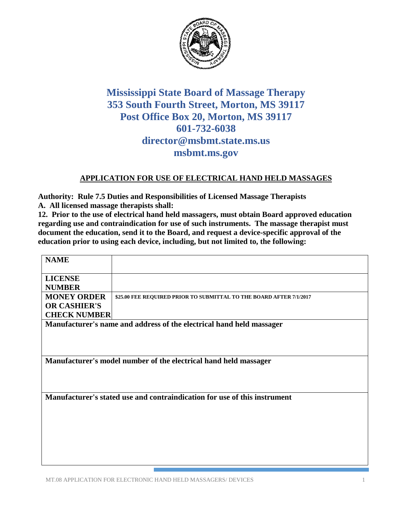

## **Mississippi State Board of Massage Therapy 353 South Fourth Street, Morton, MS 39117 Post Office Box 20, Morton, MS 39117 601-732-6038 director@msbmt.state.ms.us msbmt.ms.gov**

## **APPLICATION FOR USE OF ELECTRICAL HAND HELD MASSAGES**

**Authority: Rule 7.5 Duties and Responsibilities of Licensed Massage Therapists A. All licensed massage therapists shall:**

**12. Prior to the use of electrical hand held massagers, must obtain Board approved education regarding use and contraindication for use of such instruments. The massage therapist must document the education, send it to the Board, and request a device-specific approval of the education prior to using each device, including, but not limited to, the following:** 

| <b>NAME</b>                                                               |                                                                     |
|---------------------------------------------------------------------------|---------------------------------------------------------------------|
| <b>LICENSE</b>                                                            |                                                                     |
| <b>NUMBER</b>                                                             |                                                                     |
| <b>MONEY ORDER</b>                                                        | \$25.00 FEE REQUIRED PRIOR TO SUBMITTAL TO THE BOARD AFTER 7/1/2017 |
| <b>OR CASHIER'S</b>                                                       |                                                                     |
| <b>CHECK NUMBER</b>                                                       |                                                                     |
| Manufacturer's name and address of the electrical hand held massager      |                                                                     |
|                                                                           |                                                                     |
|                                                                           |                                                                     |
|                                                                           |                                                                     |
| Manufacturer's model number of the electrical hand held massager          |                                                                     |
|                                                                           |                                                                     |
|                                                                           |                                                                     |
|                                                                           |                                                                     |
| Manufacturer's stated use and contraindication for use of this instrument |                                                                     |
|                                                                           |                                                                     |
|                                                                           |                                                                     |
|                                                                           |                                                                     |
|                                                                           |                                                                     |
|                                                                           |                                                                     |
|                                                                           |                                                                     |

MT.08 APPLICATION FOR ELECTRONIC HAND HELD MASSAGERS/ DEVICES 1